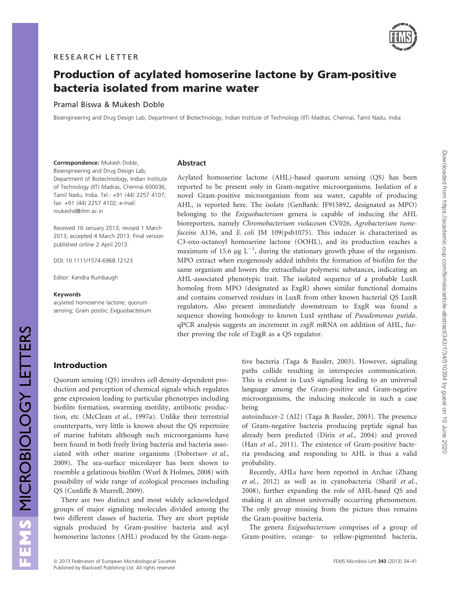

Downloaded from https://academic.oup.com/femsle/article-abstract/343/1/34/510394 by guest on 10 June 2020 Downloaded from https://academic.oup.com/femsle/article-abstract/343/1/34/510394 by guest on 10 June 2020

# Production of acylated homoserine lactone by Gram-positive bacteria isolated from marine water

## Pramal Biswa & Mukesh Doble

Bioengineering and Drug Design Lab, Department of Biotechnology, Indian Institute of Technology (IIT) Madras, Chennai, Tamil Nadu, India

Correspondence: Mukesh Doble, Bioengineering and Drug Design Lab, Department of Biotechnology, Indian Institute of Technology (IIT) Madras, Chennai 600036, Tamil Nadu, India. Tel.: +91 (44) 2257 4107; fax: +91 (44) 2257 4102; e-mail: mukeshd@iitm.ac.in

Received 16 January 2013; revised 1 March 2013; accepted 4 March 2013. Final version published online 2 April 2013.

DOI: 10.1111/1574-6968.12123

Editor: Kendra Rumbaugh

#### Keywords

acylated homoserine lactone; quorum sensing; Gram positiv; Exiguobacterium.

### Abstract

Acylated homoserine lactone (AHL)-based quorum sensing (QS) has been reported to be present only in Gram-negative microorganisms. Isolation of a novel Gram-positive microorganism from sea water, capable of producing AHL, is reported here. The isolate (GenBank: JF915892, designated as MPO) belonging to the Exiguobacterium genera is capable of inducing the AHL bioreporters, namely Chromobacterium violaceum CV026, Agrobacterium tumefaceins A136, and E. coli JM 109(psb1075). This inducer is characterized as C3-oxo-octanoyl homoserine lactone (OOHL), and its production reaches a maximum of 15.6  $\mu$ g L<sup>-1</sup>, during the stationary growth phase of the organism. MPO extract when exogenously added inhibits the formation of biofilm for the same organism and lowers the extracellular polymeric substances, indicating an AHL-associated phenotypic trait. The isolated sequence of a probable LuxR homolog from MPO (designated as ExgR) shows similar functional domains and contains conserved residues in LuxR from other known bacterial QS LuxR regulators. Also present immediately downstream to ExgR was found a sequence showing homology to known LuxI synthase of Pseudomonas putida. qPCR analysis suggests an increment in exgR mRNA on addition of AHL, further proving the role of ExgR as a QS regulator.

# Introduction

Quorum sensing (QS) involves cell density-dependent production and perception of chemical signals which regulates gene expression leading to particular phenotypes including biofilm formation, swarming motility, antibiotic production, etc (McClean et al., 1997a). Unlike their terrestrial counterparts, very little is known about the QS repertoire of marine habitats although such microorganisms have been found in both freely living bacteria and bacteria associated with other marine organisms (Dobretsov et al., 2009). The sea-surface microlayer has been shown to resemble a gelatinous biofilm (Wurl & Holmes, 2008) with possibility of wide range of ecological processes including QS (Cunliffe & Murrell, 2009).

There are two distinct and most widely acknowledged groups of major signaling molecules divided among the two different classes of bacteria. They are short peptide signals produced by Gram-positive bacteria and acyl homoserine lactones (AHL) produced by the Gram-negative bacteria (Taga & Bassler, 2003). However, signaling paths collide resulting in interspecies communication. This is evident in LuxS signaling leading to an universal language among the Gram-positive and Gram-negative microorganisms, the inducing molecule in such a case being

autoinducer-2 (AI2) (Taga & Bassler, 2003). The presence of Gram-negative bacteria producing peptide signal has already been predicted (Dirix et al., 2004) and proved (Han et al., 2011). The existence of Gram-positive bacteria producing and responding to AHL is thus a valid probability.

Recently, AHLs have been reported in Archae (Zhang et al., 2012) as well as in cyanobacteria (Sharif et al., 2008), further expanding the role of AHL-based QS and making it an almost universally occurring phenomenon. The only group missing from the picture thus remains the Gram-positive bacteria.

The genera Exiguobacterium comprises of a group of Gram-positive, orange- to yellow-pigmented bacteria,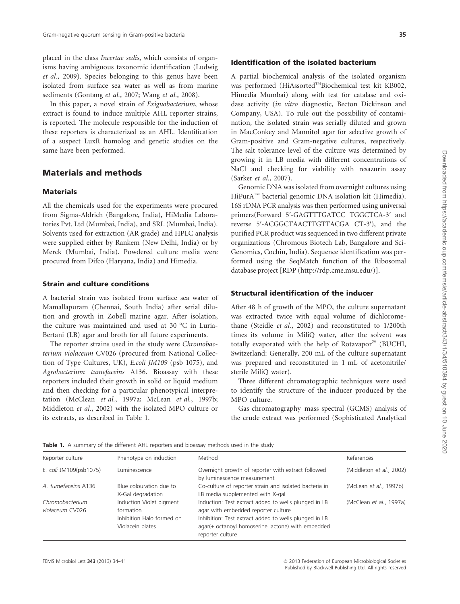placed in the class Incertae sedis, which consists of organisms having ambiguous taxonomic identification (Ludwig et al., 2009). Species belonging to this genus have been isolated from surface sea water as well as from marine sediments (Gontang et al., 2007; Wang et al., 2008).

In this paper, a novel strain of Exiguobacterium, whose extract is found to induce multiple AHL reporter strains, is reported. The molecule responsible for the induction of these reporters is characterized as an AHL. Identification of a suspect LuxR homolog and genetic studies on the same have been performed.

# Materials and methods

### **Materials**

All the chemicals used for the experiments were procured from Sigma-Aldrich (Bangalore, India), HiMedia Laboratories Pvt. Ltd (Mumbai, India), and SRL (Mumbai, India). Solvents used for extraction (AR grade) and HPLC analysis were supplied either by Rankem (New Delhi, India) or by Merck (Mumbai, India). Powdered culture media were procured from Difco (Haryana, India) and Himedia.

#### Strain and culture conditions

A bacterial strain was isolated from surface sea water of Mamallapuram (Chennai, South India) after serial dilution and growth in Zobell marine agar. After isolation, the culture was maintained and used at 30 °C in Luria-Bertani (LB) agar and broth for all future experiments.

The reporter strains used in the study were Chromobacterium violaceum CV026 (procured from National Collection of Type Cultures, UK), E.coli JM109 (psb 1075), and Agrobacterium tumefaceins A136. Bioassay with these reporters included their growth in solid or liquid medium and then checking for a particular phenotypical interpretation (McClean et al., 1997a; McLean et al., 1997b; Middleton et al., 2002) with the isolated MPO culture or its extracts, as described in Table 1.

# Identification of the isolated bacterium

A partial biochemical analysis of the isolated organism was performed (HiAssorted™Biochemical test kit KB002, Himedia Mumbai) along with test for catalase and oxidase activity (in vitro diagnostic, Becton Dickinson and Company, USA). To rule out the possibility of contamination, the isolated strain was serially diluted and grown in MacConkey and Mannitol agar for selective growth of Gram-positive and Gram-negative cultures, respectively. The salt tolerance level of the culture was determined by growing it in LB media with different concentrations of NaCl and checking for viability with resazurin assay (Sarker et al., 2007).

Genomic DNA was isolated from overnight cultures using HiPurA<sup>™</sup> bacterial genomic DNA isolation kit (Himedia). 16S rDNA PCR analysis was then performed using universal primers(Forward 5′-GAGTTTGATCC TGGCTCA-3′ and reverse 5′-ACGGCTAACTTGTTACGA CT-3′), and the purified PCR product was sequenced in two different private organizations (Chromous Biotech Lab, Bangalore and Sci-Genomics, Cochin, India). Sequence identification was performed using the SeqMatch function of the Ribosomal database project [RDP (http://rdp.cme.msu.edu/)].

### Structural identification of the inducer

After 48 h of growth of the MPO, the culture supernatant was extracted twice with equal volume of dichloromethane (Steidle et al., 2002) and reconstituted to 1/200th times its volume in MiliQ water, after the solvent was totally evaporated with the help of Rotavapor® (BUCHI, Switzerland: Generally, 200 mL of the culture supernatant was prepared and reconstituted in 1 mL of acetonitrile/ sterile MiliQ water).

Three different chromatographic techniques were used to identify the structure of the inducer produced by the MPO culture.

Gas chromatography–mass spectral (GCMS) analysis of the crude extract was performed (Sophisticated Analytical

| Reporter culture                   | Phenotype on induction                                                                 | Method                                                                                                                                                                                                                        | References               |
|------------------------------------|----------------------------------------------------------------------------------------|-------------------------------------------------------------------------------------------------------------------------------------------------------------------------------------------------------------------------------|--------------------------|
| E. coli JM109(psb1075)             | Luminescence                                                                           | Overnight growth of reporter with extract followed<br>by luminescence measurement                                                                                                                                             | (Middleton et al., 2002) |
| A. tumefaceins A136                | Blue colouration due to<br>X-Gal degradation                                           | Co-culture of reporter strain and isolated bacteria in<br>LB media supplemented with X-gal                                                                                                                                    | (McLean et al., 1997b)   |
| Chromobacterium<br>violaceum CV026 | Induction Violet pigment<br>formation<br>Inhibition Halo formed on<br>Violacein plates | Induction: Test extract added to wells plunged in LB<br>agar with embedded reporter culture<br>Inhibition: Test extract added to wells plunged in LB<br>agar(+ octanoyl homoserine lactone) with embedded<br>reporter culture | (McClean et al., 1997a)  |

Table 1. A summary of the different AHL reporters and bioassay methods used in the study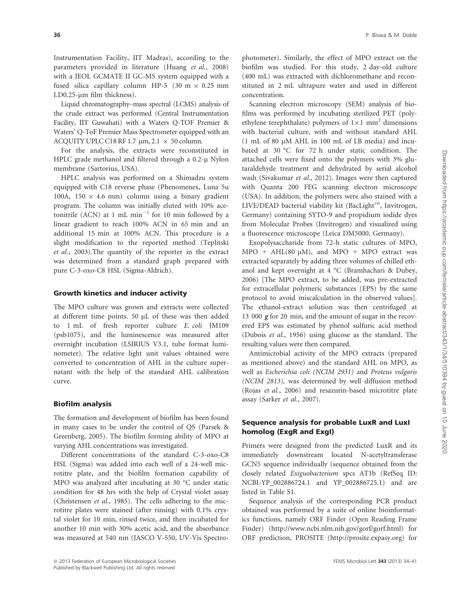Instrumentation Facility, IIT Madras), according to the parameters provided in literature (Huang et al., 2008) with a JEOL GCMATE II GC-MS system equipped with a fused silica capillary column HP-5 (30 m  $\times$  0.25 mm I.D0.25-um film thickness).

Liquid chromatography–mass spectral (LCMS) analysis of the crude extract was performed (Central Instrumentation Facility, IIT Guwahati) with a Waters Q-TOF Premier & Waters' Q-ToF Premier Mass Spectrometer equipped with an ACQUITY UPLC C18 RF 1.7  $\mu$ m, 2.1  $\times$  50 column.

For the analysis, the extracts were reconstituted in HPLC grade methanol and filtered through a 0.2-µ Nylon membrane (Sartorius, USA).

HPLC analysis was performed on a Shimadzu system equipped with C18 reverse phase (Phenomenex, Luna 5u 100A, 150  $\times$  4.6 mm) column using a binary gradient program. The column was initially eluted with 10% acetonitrile (ACN) at 1 mL  $min^{-1}$  for 10 min followed by a linear gradient to reach 100% ACN in 65 min and an additional 15 min at 100% ACN. This procedure is a slight modification to the reported method (Teplitski et al., 2003).The quantity of the reporter in the extract was determined from a standard graph prepared with pure C-3-oxo-C8 HSL (Sigma-Aldrich).

### Growth kinetics and inducer activity

The MPO culture was grown and extracts were collected at different time points. 50  $\mu$ L of these was then added to 1 mL of fresh reporter culture E. coli JM109 (psb1075), and the luminescence was measured after overnight incubation (LSIRIUS V3.1, tube format luminometer). The relative light unit values obtained were converted to concentration of AHL in the culture supernatant with the help of the standard AHL calibration curve.

#### Biofilm analysis

The formation and development of biofilm has been found in many cases to be under the control of QS (Parsek & Greenberg, 2005). The biofilm forming ability of MPO at varying AHL concentrations was investigated.

Different concentrations of the standard C-3-oxo-C8 HSL (Sigma) was added into each well of a 24-well microtitre plate, and the biofilm formation capability of MPO was analyzed after incubating at 30 °C under static condition for 48 hrs with the help of Crystal violet assay (Christensen et al., 1985). The cells adhering to the microtitre plates were stained (after rinsing) with 0.1% crystal violet for 10 min, rinsed twice, and then incubated for another 10 min with 30% acetic acid, and the absorbance was measured at 540 nm (JASCO V-550, UV-Vis Spectro-

photometer). Similarly, the effect of MPO extract on the biofilm was studied. For this study, 2 day-old culture (400 mL) was extracted with dichloromethane and reconstituted in 2 mL ultrapure water and used in different concentration.

Scanning electron microscopy (SEM) analysis of biofilms was performed by incubating sterilized PET (polyethylene terephthalate) polymers of  $1\times1$  mm<sup>2</sup> dimensions with bacterial culture, with and without standard AHL  $(1 \text{ mL of } 80 \text{ uM}$  AHL in 100 mL of LB media) and incubated at 30 °C for 72 h under static condition. The attached cells were fixed onto the polymers with 3% glutaraldehyde treatment and dehydrated by serial alcohol wash (Sivakumar et al., 2012). Images were then captured with Quanta 200 FEG scanning electron microscope (USA). In addition, the polymers were also stained with a  $LIVE/DEAD$  bacterial viability kit (BacLight<sup>™</sup>, Invitrogen, Germany) containing SYTO-9 and propidium iodide dyes from Molecular Probes (Invitrogen) and visualized using a fluorescence microscope (Leica DM5000, Germany).

Exopolysaccharide from 72-h static cultures of MPO, MPO + AHL(80  $\mu$ M), and MPO + MPO extract was extracted separately by adding three volumes of chilled ethanol and kept overnight at 4 °C (Bramhachari & Dubey, 2006) [The MPO extract, to be added, was pre-extracted for extracellular polymeric substances (EPS) by the same protocol to avoid miscalculation in the observed values]. The ethanol-extract solution was then centrifuged at 13 000 g for 20 min, and the amount of sugar in the recovered EPS was estimated by phenol sulfuric acid method (Dubois et al., 1956) using glucose as the standard. The resulting values were then compared.

Antimicrobial activity of the MPO extracts (prepared as mentioned above) and the standard AHL on MPO, as well as Escherichia coli (NCIM 2931) and Proteus vulgaris (NCIM 2813), was determined by well diffusion method (Rojas et al., 2006) and resazurin-based microtitre plate assay (Sarker et al., 2007).

# Sequence analysis for probable LuxR and LuxI homolog (ExgR and ExgI)

Primers were designed from the predicted LuxR and its immediately downstream located N-acetyltransferase GCN5 sequence individually (sequence obtained from the closely related Exiguobacterium spcs AT1b (RefSeq ID: NCBI-YP\_002886724.1 and YP\_002886725.1) and are listed in Table S1.

Sequence analysis of the corresponding PCR product obtained was performed by a suite of online bioinformatics functions, namely ORF Finder (Open Reading Frame Finder) (http://www.ncbi.nlm.nih.gov/gorf/gorf.html) for ORF prediction, PROSITE (http://prosite.expasy.org) for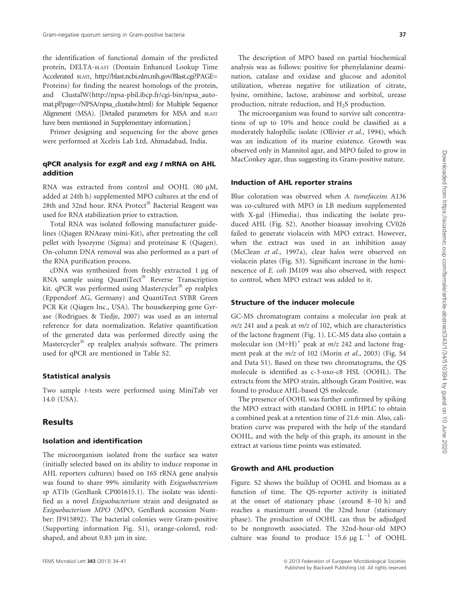the identification of functional domain of the predicted protein, DELTA-BLAST (Domain Enhanced Lookup Time Accelerated BLAST, http://blast.ncbi.nlm.nih.gov/Blast.cgi?PAGE= Proteins) for finding the nearest homologs of the protein, and ClustalW(http://npsa-pbil.ibcp.fr/cgi-bin/npsa\_automat.pl?page=/NPSA/npsa\_clustalw.html) for Multiple Sequence Alignment (MSA). [Detailed parameters for MSA and BLAST have been mentioned in Supplementary information.]

Primer designing and sequencing for the above genes were performed at Xcelris Lab Ltd, Ahmadabad, India.

### qPCR analysis for exgR and exg I mRNA on AHL addition

RNA was extracted from control and OOHL (80 uM, added at 24th h) supplemented MPO cultures at the end of 28th and 32nd hour. RNA Protect® Bacterial Reagent was used for RNA stabilization prior to extraction.

Total RNA was isolated following manufacturer guidelines (Qiagen RNAeasy mini-Kit), after pretreating the cell pellet with lysozyme (Sigma) and proteinase K (Qiagen). On-column DNA removal was also performed as a part of the RNA purification process.

 $cDNA$  was synthesized from freshly extracted 1  $\mu$ g of RNA sample using QuantiTect® Reverse Transcription kit. qPCR was performed using Mastercycler® ep realplex (Eppendorf AG, Germany) and QuantiTect SYBR Green PCR Kit (Qiagen Inc., USA). The housekeeping gene Gyrase (Rodrigues & Tiedje, 2007) was used as an internal reference for data normalization. Relative quantification of the generated data was performed directly using the Mastercycler® ep realplex analysis software. The primers used for qPCR are mentioned in Table S2.

### Statistical analysis

Two sample t-tests were performed using MiniTab ver 14.0 (USA).

# Results

### Isolation and identification

The microorganism isolated from the surface sea water (initially selected based on its ability to induce response in AHL reporters cultures) based on 16S rRNA gene analysis was found to share 99% similarity with Exiguobacterium sp AT1b (GenBank CP001615.1). The isolate was identified as a novel Exiguobacterium strain and designated as Exiguobacterium MPO (MPO, GenBank accession Number: JF915892). The bacterial colonies were Gram-positive (Supporting information Fig. S1), orange-colored, rodshaped, and about 0.83 µm in size.

The description of MPO based on partial biochemical analysis was as follows: positive for phenylalanine deamination, catalase and oxidase and glucose and adonitol utilization, whereas negative for utilization of citrate, lysine, ornithine, lactose, arabinose and sorbitol, urease production, nitrate reduction, and H<sub>2</sub>S production.

The microorganism was found to survive salt concentrations of up to 10% and hence could be classified as a moderately halophilic isolate (Ollivier et al., 1994), which was an indication of its marine existence. Growth was observed only in Mannitol agar, and MPO failed to grow in MacConkey agar, thus suggesting its Gram-positive nature.

#### Induction of AHL reporter strains

Blue coloration was observed when A. tumefaceins A136 was co-cultured with MPO in LB medium supplemented with X-gal (Himedia), thus indicating the isolate produced AHL (Fig. S2). Another bioassay involving CV026 failed to generate violacein with MPO extract. However, when the extract was used in an inhibition assay (McClean et al., 1997a), clear halos were observed on violacein plates (Fig. S3). Significant increase in the luminescence of E. coli JM109 was also observed, with respect to control, when MPO extract was added to it.

### Structure of the inducer molecule

GC-MS chromatogram contains a molecular ion peak at  $m/z$  241 and a peak at  $m/z$  of 102, which are characteristics of the lactone fragment (Fig. 1). LC-MS data also contain a molecular ion  $(M+H)^+$  peak at  $m/z$  242 and lactone fragment peak at the m/z of 102 (Morin et al., 2003) (Fig. S4 and Data S1). Based on these two chromatograms, the QS molecule is identified as c-3-oxo-c8 HSL (OOHL). The extracts from the MPO strain, although Gram Positive, was found to produce AHL-based QS molecule.

The presence of OOHL was further confirmed by spiking the MPO extract with standard OOHL in HPLC to obtain a combined peak at a retention time of 21.6 min. Also, calibration curve was prepared with the help of the standard OOHL, and with the help of this graph, its amount in the extract at various time points was estimated.

### Growth and AHL production

Figure. S2 shows the buildup of OOHL and biomass as a function of time. The QS-reporter activity is initiated at the onset of stationary phase (around 8–10 h) and reaches a maximum around the 32nd hour (stationary phase). The production of OOHL can thus be adjudged to be nongrowth associated. The 32nd-hour-old MPO culture was found to produce 15.6  $\mu$ g L<sup>-1</sup> of OOHL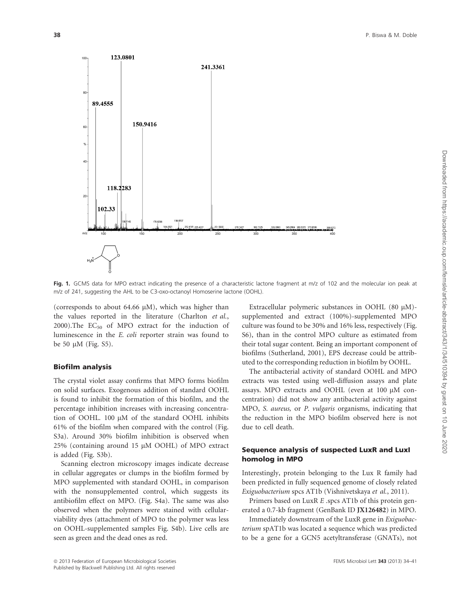

Fig. 1. GCMS data for MPO extract indicating the presence of a characteristic lactone fragment at m/z of 102 and the molecular ion peak at m/z of 241, suggesting the AHL to be C3-oxo-octanoyl Homoserine lactone (OOHL).

(corresponds to about 64.66  $\mu$ M), which was higher than the values reported in the literature (Charlton et al., 2000).The  $EC_{50}$  of MPO extract for the induction of luminescence in the E. coli reporter strain was found to be 50  $\mu$ M (Fig. S5).

### Biofilm analysis

The crystal violet assay confirms that MPO forms biofilm on solid surfaces. Exogenous addition of standard OOHL is found to inhibit the formation of this biofilm, and the percentage inhibition increases with increasing concentration of OOHL. 100 µM of the standard OOHL inhibits 61% of the biofilm when compared with the control (Fig. S3a). Around 30% biofilm inhibition is observed when  $25\%$  (containing around 15  $\mu$ M OOHL) of MPO extract is added (Fig. S3b).

Scanning electron microscopy images indicate decrease in cellular aggregates or clumps in the biofilm formed by MPO supplemented with standard OOHL, in comparison with the nonsupplemented control, which suggests its antibiofilm effect on MPO. (Fig. S4a). The same was also observed when the polymers were stained with cellularviability dyes (attachment of MPO to the polymer was less on OOHL-supplemented samples Fig. S4b). Live cells are seen as green and the dead ones as red.

Extracellular polymeric substances in OOHL (80  $\mu$ M)supplemented and extract (100%)-supplemented MPO culture was found to be 30% and 16% less, respectively (Fig. S6), than in the control MPO culture as estimated from their total sugar content. Being an important component of biofilms (Sutherland, 2001), EPS decrease could be attributed to the corresponding reduction in biofilm by OOHL.

The antibacterial activity of standard OOHL and MPO extracts was tested using well-diffusion assays and plate assays. MPO extracts and OOHL (even at  $100 \mu M$  concentration) did not show any antibacterial activity against MPO, S. aureus, or P. vulgaris organisms, indicating that the reduction in the MPO biofilm observed here is not due to cell death.

# Sequence analysis of suspected LuxR and LuxI homolog in MPO

Interestingly, protein belonging to the Lux R family had been predicted in fully sequenced genome of closely related Exiguobacterium spcs AT1b (Vishnivetskaya et al., 2011).

Primers based on LuxR E .spcs AT1b of this protein generated a 0.7-kb fragment (GenBank ID JX126482) in MPO.

Immediately downstream of the LuxR gene in Exiguobacterium spAT1b was located a sequence which was predicted to be a gene for a GCN5 acetyltransferase (GNATs), not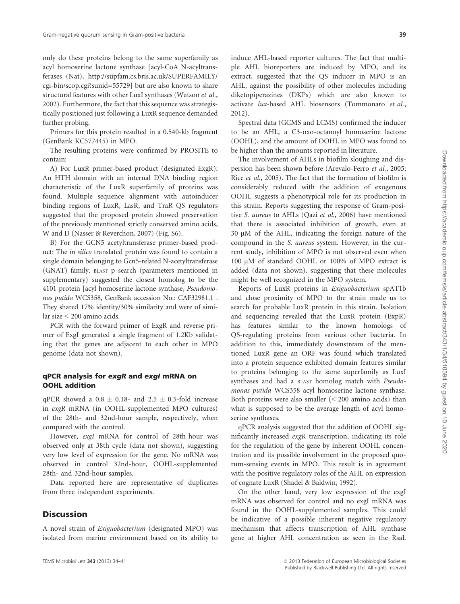only do these proteins belong to the same superfamily as acyl homoserine lactone synthase [acyl-CoA N-acyltransferases (Nat), http://supfam.cs.bris.ac.uk/SUPERFAMILY/ cgi-bin/scop.cgi?sunid=55729] but are also known to share structural features with other LuxI synthases (Watson et al., 2002). Furthermore, the fact that this sequence was strategistically positioned just following a LuxR sequence demanded further probing.

Primers for this protein resulted in a 0.540-kb fragment (GenBank KC577445) in MPO.

The resulting proteins were confirmed by PROSITE to contain:

A) For LuxR primer-based product (designated ExgR): An HTH domain with an internal DNA binding region characteristic of the LuxR superfamily of proteins was found. Multiple sequence alignment with autoinducer binding regions of LuxR, LasR, and TraR QS regulators suggested that the proposed protein showed preservation of the previously mentioned strictly conserved amino acids, W and D (Nasser & Reverchon, 2007) (Fig. S6).

B) For the GCN5 acetyltransferase primer-based product: The in silico translated protein was found to contain a single domain belonging to Gcn5-related N-acetyltransferase (GNAT) family. BLAST p search (parameters mentioned in supplementary) suggested the closest homolog to be the 4101 protein [acyl homoserine lactone synthase, Pseudomonas putida WCS358, GenBank accession No.: CAF32981.1]. They shared 17% identity/30% similarity and were of similar size < 200 amino acids.

PCR with the forward primer of ExgR and reverse primer of ExgI generated a single fragment of 1.2Kb validating that the genes are adjacent to each other in MPO genome (data not shown).

### qPCR analysis for exgR and exgI mRNA on OOHL addition

qPCR showed a  $0.8 \pm 0.18$ - and  $2.5 \pm 0.5$ -fold increase in exgR mRNA (in OOHL-supplemented MPO cultures) of the 28th- and 32nd-hour sample, respectively, when compared with the control.

However, exgI mRNA for control of 28th hour was observed only at 38th cycle (data not shown), suggesting very low level of expression for the gene. No mRNA was observed in control 32nd-hour, OOHL-supplemented 28th- and 32nd-hour samples.

Data reported here are representative of duplicates from three independent experiments.

# **Discussion**

A novel strain of Exiguobacterium (designated MPO) was isolated from marine environment based on its ability to

induce AHL-based reporter cultures. The fact that multiple AHL bioreporters are induced by MPO, and its extract, suggested that the QS inducer in MPO is an AHL, against the possibility of other molecules including diketopiperazines (DKPs) which are also known to activate lux-based AHL biosensors (Tommonaro et al., 2012).

Spectral data (GCMS and LCMS) confirmed the inducer to be an AHL, a C3-oxo-octanoyl homoserine lactone (OOHL), and the amount of OOHL in MPO was found to be higher than the amounts reported in literature.

The involvement of AHLs in biofilm sloughing and dispersion has been shown before (Arevalo-Ferro et al., 2005; Rice et al., 2005). The fact that the formation of biofilm is considerably reduced with the addition of exogenous OOHL suggests a phenotypical role for its production in this strain. Reports suggesting the response of Gram-positive S. aureus to AHLs (Qazi et al., 2006) have mentioned that there is associated inhibition of growth, even at 30 lM of the AHL, indicating the foreign nature of the compound in the S. aureus system. However, in the current study, inhibition of MPO is not observed even when 100 µM of standard OOHL or 100% of MPO extract is added (data not shown), suggesting that these molecules might be well recognized in the MPO system.

Reports of LuxR proteins in Exiguobacterium spAT1b and close proximity of MPO to the strain made us to search for probable LuxR protein in this strain. Isolation and sequencing revealed that the LuxR protein (ExpR) has features similar to the known homologs of QS-regulating proteins from various other bacteria. In addition to this, immediately downstream of the mentioned LuxR gene an ORF was found which translated into a protein sequence exhibited domain features similar to proteins belonging to the same superfamily as LuxI synthases and had a BLAST homolog match with Pseudomonas putida WCS358 acyl homoserine lactone synthase. Both proteins were also smaller  $(< 200$  amino acids) than what is supposed to be the average length of acyl homoserine synthases.

qPCR analysis suggested that the addition of OOHL significantly increased exgR transcription, indicating its role for the regulation of the gene by inherent OOHL concentration and its possible involvement in the proposed quorum-sensing events in MPO. This result is in agreement with the positive regulatory roles of the AHL on expression of cognate LuxR (Shadel & Baldwin, 1992).

On the other hand, very low expression of the exgI mRNA was observed for control and no exgI mRNA was found in the OOHL-supplemented samples. This could be indicative of a possible inherent negative regulatory mechanism that affects transcription of AHL synthase gene at higher AHL concentration as seen in the RsaL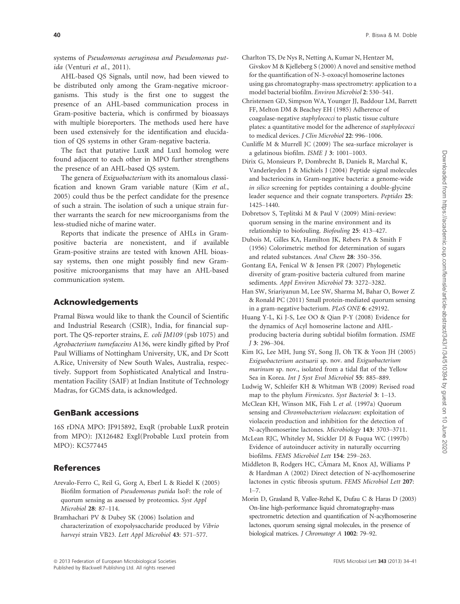systems of Pseudomonas aeruginosa and Pseudomonas putida (Venturi et al., 2011).

AHL-based QS Signals, until now, had been viewed to be distributed only among the Gram-negative microorganisms. This study is the first one to suggest the presence of an AHL-based communication process in Gram-positive bacteria, which is confirmed by bioassays with multiple bioreporters. The methods used here have been used extensively for the identification and elucidation of QS systems in other Gram-negative bacteria.

The fact that putative LuxR and LuxI homolog were found adjacent to each other in MPO further strengthens the presence of an AHL-based QS system.

The genera of Exiguobacterium with its anomalous classification and known Gram variable nature (Kim et al., 2005) could thus be the perfect candidate for the presence of such a strain. The isolation of such a unique strain further warrants the search for new microorganisms from the less-studied niche of marine water.

Reports that indicate the presence of AHLs in Grampositive bacteria are nonexistent, and if available Gram-positive strains are tested with known AHL bioassay systems, then one might possibly find new Grampositive microorganisms that may have an AHL-based communication system.

# Acknowledgements

Pramal Biswa would like to thank the Council of Scientific and Industrial Research (CSIR), India, for financial support. The QS-reporter strains, E. coli JM109 (psb 1075) and Agrobacterium tumefaceins A136, were kindly gifted by Prof Paul Williams of Nottingham University, UK, and Dr Scott A.Rice, University of New South Wales, Australia, respectively. Support from Sophisticated Analytical and Instrumentation Facility (SAIF) at Indian Institute of Technology Madras, for GCMS data, is acknowledged.

# GenBank accessions

16S rDNA MPO: JF915892, ExqR (probable LuxR protein from MPO): JX126482 ExgI(Probable LuxI protein from MPO): KC577445

# References

- Arevalo-Ferro C, Reil G, Gorg A, Eberl L & Riedel K (2005) Biofilm formation of Pseudomonas putida IsoF: the role of quorum sensing as assessed by proteomics. Syst Appl Microbiol 28: 87–114.
- Bramhachari PV & Dubey SK (2006) Isolation and characterization of exopolysaccharide produced by Vibrio harveyi strain VB23. Lett Appl Microbiol 43: 571–577.
- Charlton TS, De Nys R, Netting A, Kumar N, Hentzer M, Givskov M & Kjelleberg S (2000) A novel and sensitive method for the quantification of N-3-oxoacyl homoserine lactones using gas chromatography-mass spectrometry: application to a model bacterial biofilm. Environ Microbiol 2: 530–541.
- Christensen GD, Simpson WA, Younger JJ, Baddour LM, Barrett FF, Melton DM & Beachey EH (1985) Adherence of coagulase-negative staphylococci to plastic tissue culture plates: a quantitative model for the adherence of staphylococci to medical devices. J Clin Microbiol 22: 996–1006.
- Cunliffe M & Murrell JC (2009) The sea-surface microlayer is a gelatinous biofilm. ISME J 3: 1001–1003.
- Dirix G, Monsieurs P, Dombrecht B, Daniels R, Marchal K, Vanderleyden J & Michiels J (2004) Peptide signal molecules and bacteriocins in Gram-negative bacteria: a genome-wide in silico screening for peptides containing a double-glycine leader sequence and their cognate transporters. Peptides 25: 1425–1440.
- Dobretsov S, Teplitski M & Paul V (2009) Mini-review: quorum sensing in the marine environment and its relationship to biofouling. Biofouling 25: 413–427.
- Dubois M, Gilles KA, Hamilton JK, Rebers PA & Smith F (1956) Colorimetric method for determination of sugars and related substances. Anal Chem 28: 350–356.
- Gontang EA, Fenical W & Jensen PR (2007) Phylogenetic diversity of gram-positive bacteria cultured from marine sediments. Appl Environ Microbiol 73: 3272–3282.
- Han SW, Sriariyanun M, Lee SW, Sharma M, Bahar O, Bower Z & Ronald PC (2011) Small protein-mediated quorum sensing in a gram-negative bacterium. PLoS ONE 6: e29192.
- Huang Y-L, Ki J-S, Lee OO & Qian P-Y (2008) Evidence for the dynamics of Acyl homoserine lactone and AHLproducing bacteria during subtidal biofilm formation. ISME <sup>J</sup> 3: 296–304.
- Kim IG, Lee MH, Jung SY, Song JJ, Oh TK & Yoon JH (2005) Exiguobacterium aestuarii sp. nov. and Exiguobacterium marinum sp. nov., isolated from a tidal flat of the Yellow Sea in Korea. Int J Syst Evol Microbiol 55: 885–889.
- Ludwig W, Schleifer KH & Whitman WB (2009) Revised road map to the phylum Firmicutes. Syst Bacteriol 3: 1–13.
- McClean KH, Winson MK, Fish L et al. (1997a) Quorum sensing and Chromobacterium violaceum: exploitation of violacein production and inhibition for the detection of N-acylhomoserine lactones. Microbiology 143: 3703–3711.
- McLean RJC, Whiteley M, Stickler DJ & Fuqua WC (1997b) Evidence of autoinducer activity in naturally occurring biofilms. FEMS Microbiol Lett 154: 259–263.
- Middleton B, Rodgers HC, CAmara M, Knox AJ, Williams P ~ & Hardman A (2002) Direct detection of N-acylhomoserine lactones in cystic fibrosis sputum. FEMS Microbiol Lett 207:  $1 - 7$
- Morin D, Grasland B, Vallee-Rehel K, Dufau C & Haras D (2003) On-line high-performance liquid chromatography-mass spectrometric detection and quantification of N-acylhomoserine lactones, quorum sensing signal molecules, in the presence of biological matrices. J Chromatogr A 1002: 79–92.